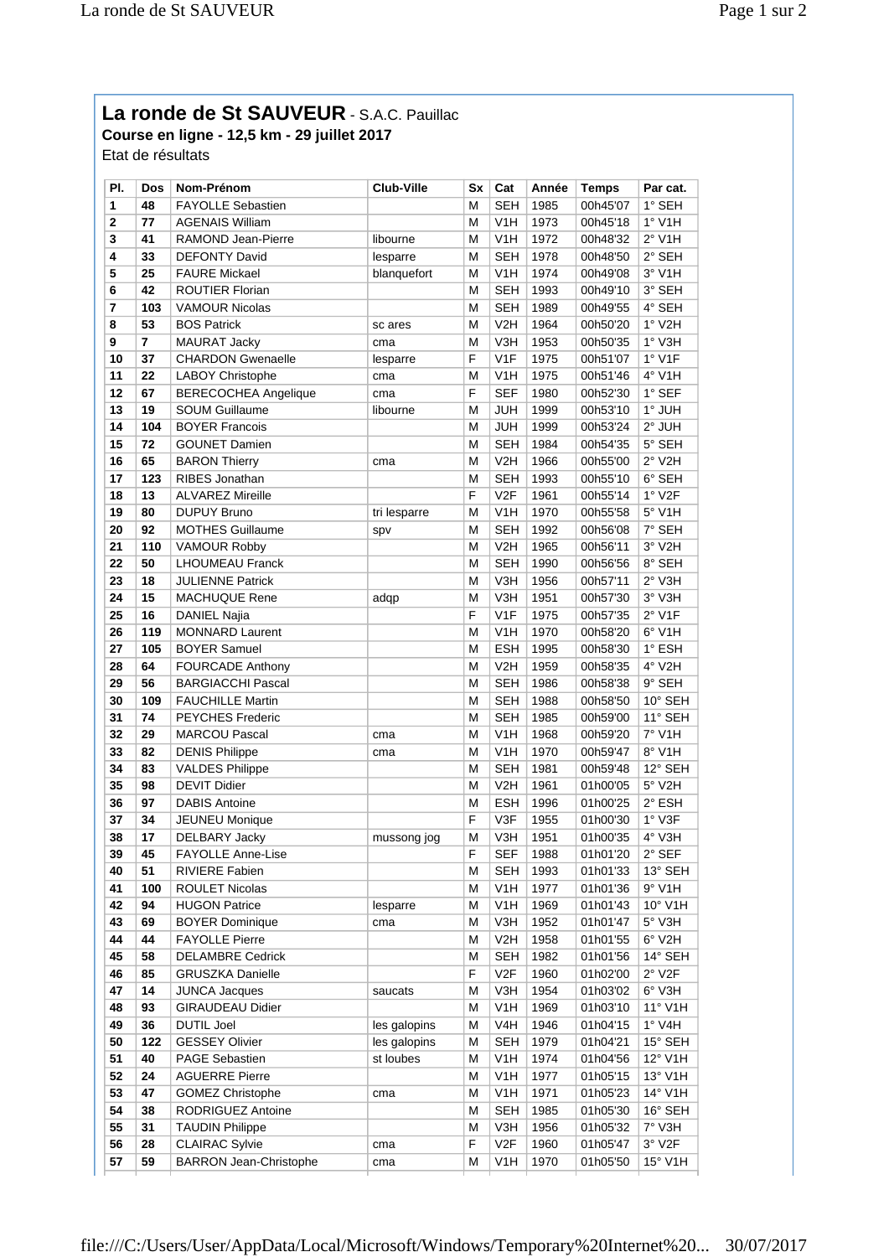## La ronde de St SAUVEUR - S.A.C. Pauillac

**Course en ligne - 12,5 km - 29 juillet 2017** Etat de résultats

| PI.          | Dos            | Nom-Prénom                  | <b>Club-Ville</b> | Sx | Cat              | Année        | <b>Temps</b> | Par cat.              |
|--------------|----------------|-----------------------------|-------------------|----|------------------|--------------|--------------|-----------------------|
| 1            | 48             | <b>FAYOLLE Sebastien</b>    |                   | Μ  | <b>SEH</b>       | 1985         | 00h45'07     | 1° SEH                |
| $\mathbf{2}$ | 77             | <b>AGENAIS William</b>      |                   | M  | V <sub>1</sub> H | 1973         | 00h45'18     | 1° V1H                |
| 3            | 41             | RAMOND Jean-Pierre          | libourne          | M  | V <sub>1</sub> H | 1972         | 00h48'32     | $2°$ V1H              |
| 4            | 33             | <b>DEFONTY David</b>        | lesparre          | M  | <b>SEH</b>       | 1978         | 00h48'50     | 2° SEH                |
| 5            | 25             | <b>FAURE Mickael</b>        | blanquefort       | M  | V <sub>1</sub> H | 1974         | 00h49'08     | $3°$ V1H              |
| 6            | 42             | ROUTIER Florian             |                   | M  | <b>SEH</b>       | 1993         | 00h49'10     | 3° SEH                |
| 7            | 103            | <b>VAMOUR Nicolas</b>       |                   | М  | <b>SEH</b>       | 1989         | 00h49'55     | 4° SEH                |
| 8            | 53             | <b>BOS Patrick</b>          | sc ares           | M  | V2H              | 1964         | 00h50'20     | $1°$ V2H              |
| 9            | $\overline{7}$ | <b>MAURAT Jacky</b>         | cma               | M  | V3H              | 1953         | 00h50'35     | $1°$ V3H              |
| 10           | 37             | <b>CHARDON Gwenaelle</b>    | lesparre          | F  | V <sub>1F</sub>  | 1975         | 00h51'07     | 1° V1F                |
| 11           | 22             | <b>LABOY Christophe</b>     | cma               | М  | V <sub>1</sub> H | 1975         | 00h51'46     | 4° V1H                |
| 12           | 67             | <b>BERECOCHEA Angelique</b> | cma               | F  | <b>SEF</b>       | 1980         | 00h52'30     | 1° SEF                |
| 13           | 19             | <b>SOUM Guillaume</b>       | libourne          | М  | <b>JUH</b>       | 1999         | 00h53'10     | $1^\circ$ JUH         |
| 14           | 104            | <b>BOYER Francois</b>       |                   | M  | <b>JUH</b>       | 1999         | 00h53'24     | 2° JUH                |
| 15           | 72             | <b>GOUNET Damien</b>        |                   | M  | <b>SEH</b>       | 1984         | 00h54'35     | 5° SEH                |
| 16           | 65             | <b>BARON Thierry</b>        | cma               | М  | V <sub>2</sub> H | 1966         | 00h55'00     | $2°$ V2H              |
| 17           | 123            | RIBES Jonathan              |                   | M  | <b>SEH</b>       | 1993         | 00h55'10     | 6° SEH                |
| 18           | 13             | <b>ALVAREZ Mireille</b>     |                   | F  | V2F              | 1961         | 00h55'14     | $1°$ V2F              |
| 19           | 80             | <b>DUPUY Bruno</b>          | tri lesparre      | M  | V <sub>1</sub> H | 1970         | 00h55'58     | $5°$ V1H              |
| 20           | 92             | <b>MOTHES Guillaume</b>     | spv               | M  | <b>SEH</b>       | 1992         | 00h56'08     | 7° SEH                |
| 21           | 110            | <b>VAMOUR Robby</b>         |                   | M  | V <sub>2</sub> H | 1965         | 00h56'11     | 3° V2H                |
| 22           | 50             | <b>LHOUMEAU Franck</b>      |                   | M  | <b>SEH</b>       | 1990         | 00h56'56     | 8° SEH                |
| 23           | 18             | <b>JULIENNE Patrick</b>     |                   | M  | V3H              |              |              | 2° V3H                |
| 24           | 15             |                             |                   | M  | V3H              | 1956<br>1951 | 00h57'11     |                       |
|              |                | <b>MACHUQUE Rene</b>        | adqp              |    |                  |              | 00h57'30     | 3° V3H                |
| 25           | 16             | <b>DANIEL Najia</b>         |                   | F  | V <sub>1F</sub>  | 1975         | 00h57'35     | $2°$ V1F              |
| 26           | 119            | <b>MONNARD Laurent</b>      |                   | M  | V <sub>1</sub> H | 1970         | 00h58'20     | $6°$ V1H              |
| 27           | 105            | <b>BOYER Samuel</b>         |                   | M  | <b>ESH</b>       | 1995         | 00h58'30     | 1° ESH                |
| 28           | 64             | <b>FOURCADE Anthony</b>     |                   | M  | V <sub>2</sub> H | 1959         | 00h58'35     | 4° V2H                |
| 29           | 56             | <b>BARGIACCHI Pascal</b>    |                   | M  | <b>SEH</b>       | 1986         | 00h58'38     | 9° SEH                |
| 30           | 109            | <b>FAUCHILLE Martin</b>     |                   | M  | <b>SEH</b>       | 1988         | 00h58'50     | 10° SEH               |
| 31           | 74             | <b>PEYCHES Frederic</b>     |                   | M  | <b>SEH</b>       | 1985         | 00h59'00     | 11° SEH               |
| 32           | 29             | <b>MARCOU Pascal</b>        | cma               | M  | V <sub>1</sub> H | 1968         | 00h59'20     | 7° V1H                |
| 33           | 82             | <b>DENIS Philippe</b>       | cma               | М  | V <sub>1</sub> H | 1970         | 00h59'47     | 8° V1H                |
| 34           | 83             | <b>VALDES Philippe</b>      |                   | M  | <b>SEH</b>       | 1981         | 00h59'48     | 12° SEH               |
| 35           | 98             | <b>DEVIT Didier</b>         |                   | M  | V2H              | 1961         | 01h00'05     | $5^\circ$ V2H         |
| 36           | 97             | <b>DABIS Antoine</b>        |                   | M  | ESH              | 1996         | 01h00'25     | 2° ESH                |
| 37           | 34             | <b>JEUNEU Monique</b>       |                   | F  | V3F              | 1955         | 01h00'30     | 1° V3F                |
| 38           | 17             | <b>DELBARY Jacky</b>        | mussong jog       | M  | V3H              | 1951         | 01h00'35     | 4° V3H                |
| 39           | 45             | FAYOLLE Anne-Lise           |                   | F  | SEF              | 1988         | 01h01'20     | 2° SEF                |
| 40           | 51             | RIVIERE Fabien              |                   | Μ  | <b>SEH</b>       | 1993         | 01h01'33     | 13° SEH               |
| 41           | 100            | ROULET Nicolas              |                   | M  | V <sub>1</sub> H | 1977         | 01h01'36     | $9°$ V1H              |
| 42           | 94             | <b>HUGON Patrice</b>        | lesparre          | M  | V <sub>1</sub> H | 1969         | 01h01'43     | 10° V1H               |
| 43           | 69             | <b>BOYER Dominique</b>      | cma               | М  | V3H              | 1952         | 01h01'47     | 5° V3H                |
| 44           | 44             | <b>FAYOLLE Pierre</b>       |                   | M  | V <sub>2</sub> H | 1958         | 01h01'55     | $6^{\circ}$ V2H       |
| 45           | 58             | <b>DELAMBRE Cedrick</b>     |                   | M  | <b>SEH</b>       | 1982         | 01h01'56     | 14° SEH               |
| 46           | 85             | <b>GRUSZKA Danielle</b>     |                   | F  | V2F              | 1960         | 01h02'00     | $2°$ V <sub>2</sub> F |
| 47           | 14             | <b>JUNCA Jacques</b>        | saucats           | М  | V3H              | 1954         | 01h03'02     | $6^\circ$ V3H         |
| 48           | 93             | <b>GIRAUDEAU Didier</b>     |                   | M  | V <sub>1</sub> H | 1969         | 01h03'10     | 11° V1H               |
| 49           | 36             | <b>DUTIL Joel</b>           | les galopins      | М  | V4H              | 1946         | 01h04'15     | $1^\circ$ V4H         |
| 50           | 122            | <b>GESSEY Olivier</b>       | les galopins      | М  | <b>SEH</b>       | 1979         | 01h04'21     | 15° SEH               |
| 51           | 40             | PAGE Sebastien              | st loubes         | M  | V <sub>1</sub> H | 1974         | 01h04'56     | 12° V1H               |
| 52           | 24             | <b>AGUERRE Pierre</b>       |                   | Μ  | V <sub>1</sub> H | 1977         | 01h05'15     | 13° V1H               |
| 53           | 47             | <b>GOMEZ Christophe</b>     | cma               | M  | V <sub>1</sub> H | 1971         | 01h05'23     | 14° V1H               |
| 54           | 38             | RODRIGUEZ Antoine           |                   | M  | <b>SEH</b>       | 1985         | 01h05'30     | 16° SEH               |
| 55           | 31             | <b>TAUDIN Philippe</b>      |                   | M  | V3H              | 1956         | 01h05'32     | 7° V3H                |
|              |                |                             |                   |    |                  |              |              |                       |
| 56           | 28             | <b>CLAIRAC Sylvie</b>       | cma               | F  | V <sub>2F</sub>  | 1960         | 01h05'47     | 3° V2F                |